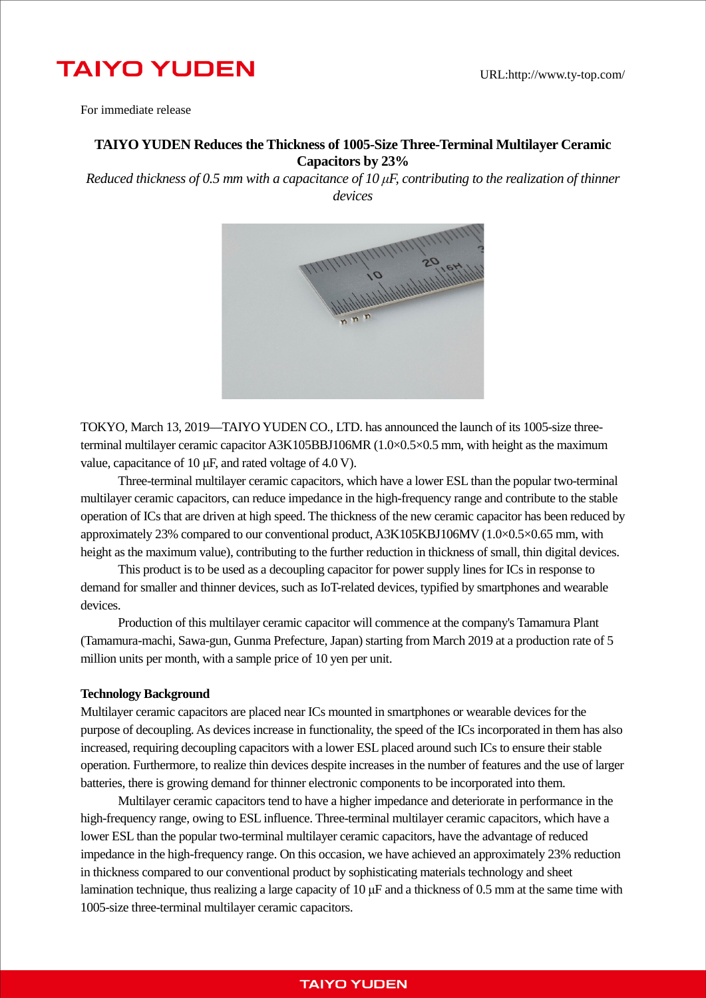# **TAIYO YUDEN**

For immediate release

## **TAIYO YUDEN Reduces the Thickness of 1005-Size Three-Terminal Multilayer Ceramic Capacitors by 23%**

*Reduced thickness of 0.5 mm with a capacitance of 10 μF, contributing to the realization of thinner devices*



TOKYO, March 13, 2019—TAIYO YUDEN CO., LTD. has announced the launch of its 1005-size threeterminal multilayer ceramic capacitor A3K105BBJ106MR (1.0×0.5×0.5 mm, with height as the maximum value, capacitance of 10 μF, and rated voltage of 4.0 V).

Three-terminal multilayer ceramic capacitors, which have a lower ESL than the popular two-terminal multilayer ceramic capacitors, can reduce impedance in the high-frequency range and contribute to the stable operation of ICs that are driven at high speed. The thickness of the new ceramic capacitor has been reduced by approximately 23% compared to our conventional product, A3K105KBJ106MV (1.0×0.5×0.65 mm, with height as the maximum value), contributing to the further reduction in thickness of small, thin digital devices.

This product is to be used as a decoupling capacitor for power supply lines for ICs in response to demand for smaller and thinner devices, such as IoT-related devices, typified by smartphones and wearable devices.

Production of this multilayer ceramic capacitor will commence at the company's Tamamura Plant (Tamamura-machi, Sawa-gun, Gunma Prefecture, Japan) starting from March 2019 at a production rate of 5 million units per month, with a sample price of 10 yen per unit.

#### **Technology Background**

Multilayer ceramic capacitors are placed near ICs mounted in smartphones or wearable devices for the purpose of decoupling. As devices increase in functionality, the speed of the ICs incorporated in them has also increased, requiring decoupling capacitors with a lower ESL placed around such ICs to ensure their stable operation. Furthermore, to realize thin devices despite increases in the number of features and the use of larger batteries, there is growing demand for thinner electronic components to be incorporated into them.

Multilayer ceramic capacitors tend to have a higher impedance and deteriorate in performance in the high-frequency range, owing to ESL influence. Three-terminal multilayer ceramic capacitors, which have a lower ESL than the popular two-terminal multilayer ceramic capacitors, have the advantage of reduced impedance in the high-frequency range. On this occasion, we have achieved an approximately 23% reduction in thickness compared to our conventional product by sophisticating materials technology and sheet lamination technique, thus realizing a large capacity of 10 μF and a thickness of 0.5 mm at the same time with 1005-size three-terminal multilayer ceramic capacitors.

## **TAIYO YUDEN**